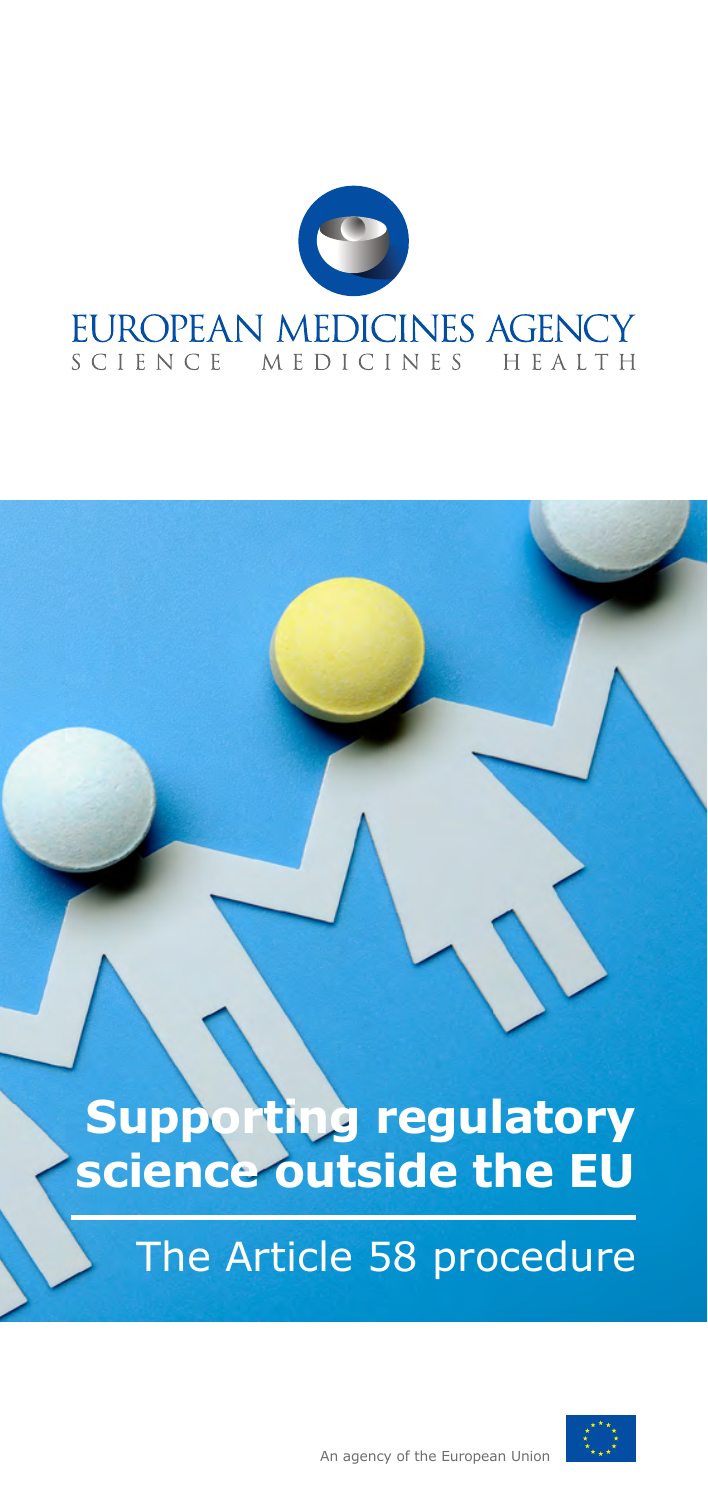

# **Supporting regulatory science outside the EU**

## The Article 58 procedure



An agency of the European Union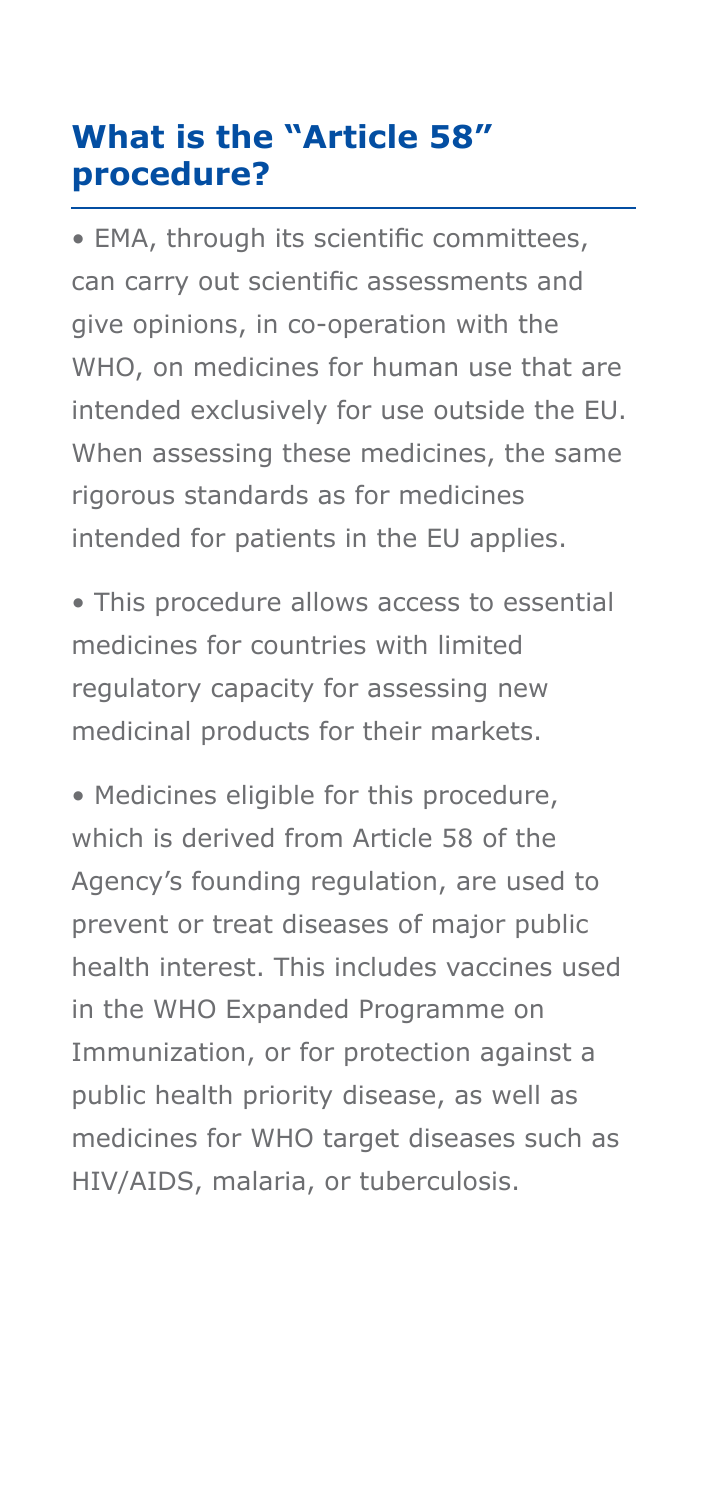## **What is the "Article 58" procedure?**

• EMA, through its scientific committees, can carry out scientific assessments and give opinions, in co-operation with the WHO, on medicines for human use that are intended exclusively for use outside the EU. When assessing these medicines, the same rigorous standards as for medicines intended for patients in the EU applies.

• This procedure allows access to essential medicines for countries with limited regulatory capacity for assessing new medicinal products for their markets.

• Medicines eligible for this procedure, which is derived from Article 58 of the Agency's founding regulation, are used to prevent or treat diseases of major public health interest. This includes vaccines used in the WHO Expanded Programme on Immunization, or for protection against a public health priority disease, as well as medicines for WHO target diseases such as HIV/AIDS, malaria, or tuberculosis.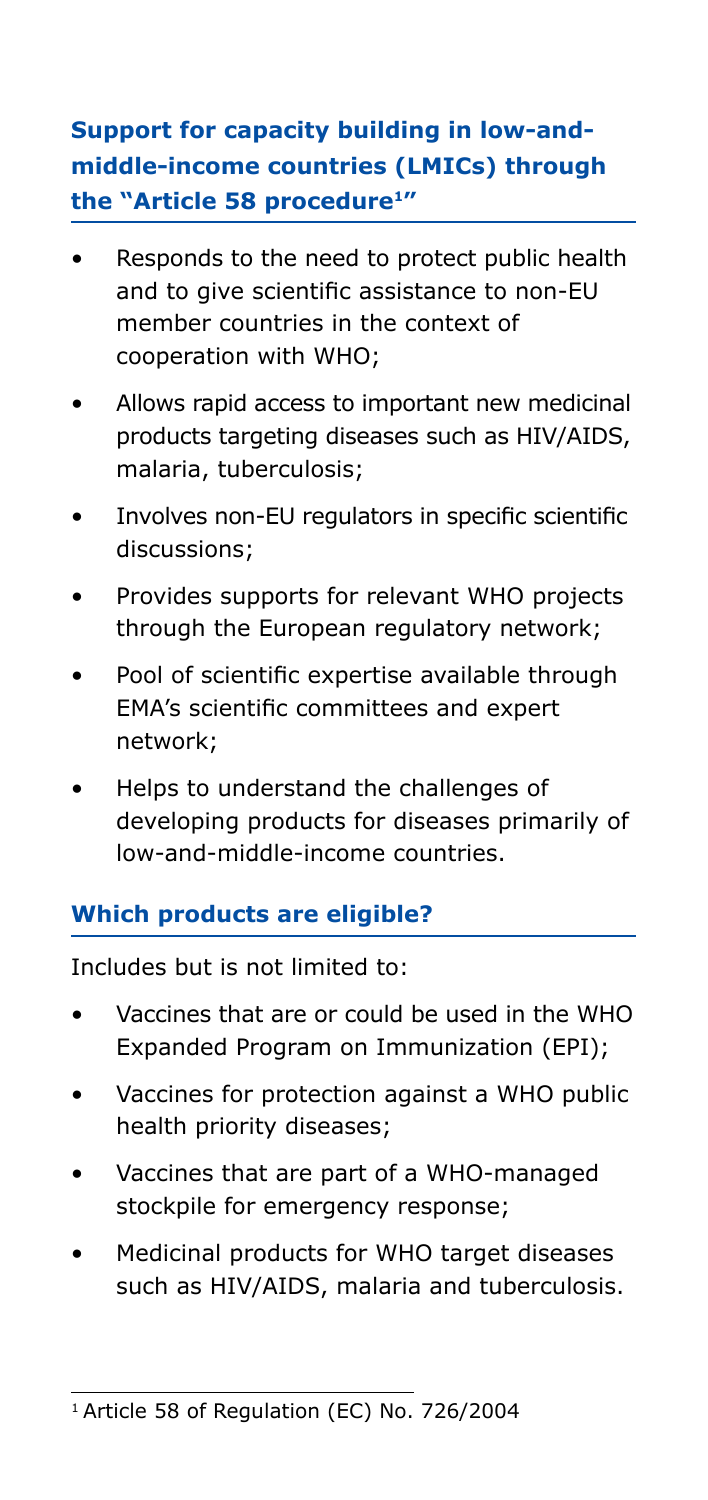## **Support for capacity building in low-andmiddle-income countries (LMICs) through the "Article 58 procedure1"**

- Responds to the need to protect public health and to give scientific assistance to non-EU member countries in the context of cooperation with WHO;
- Allows rapid access to important new medicinal products targeting diseases such as HIV/AIDS, malaria, tuberculosis;
- Involves non-EU regulators in specific scientific discussions;
- Provides supports for relevant WHO projects through the European regulatory network;
- Pool of scientific expertise available through EMA's scientific committees and expert network;
- Helps to understand the challenges of developing products for diseases primarily of low-and-middle-income countries.

## **Which products are eligible?**

Includes but is not limited to:

- Vaccines that are or could be used in the WHO Expanded Program on Immunization (EPI);
- Vaccines for protection against a WHO public health priority diseases;
- Vaccines that are part of a WHO-managed stockpile for emergency response;
- Medicinal products for WHO target diseases such as HIV/AIDS, malaria and tuberculosis.

<sup>&</sup>lt;sup>1</sup> Article 58 of Regulation (EC) No. 726/2004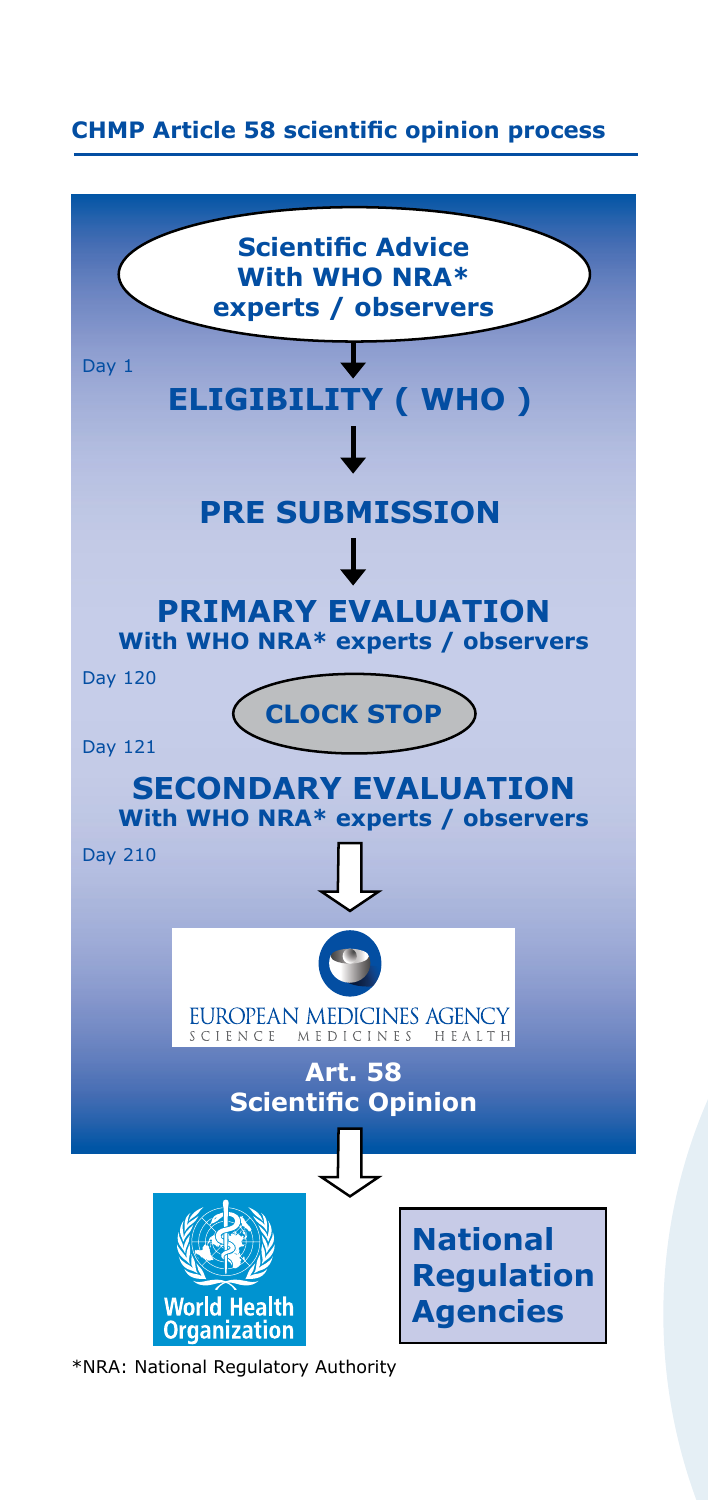#### **CHMP Article 58 scientific opinion process**



\*NRA: National Regulatory Authority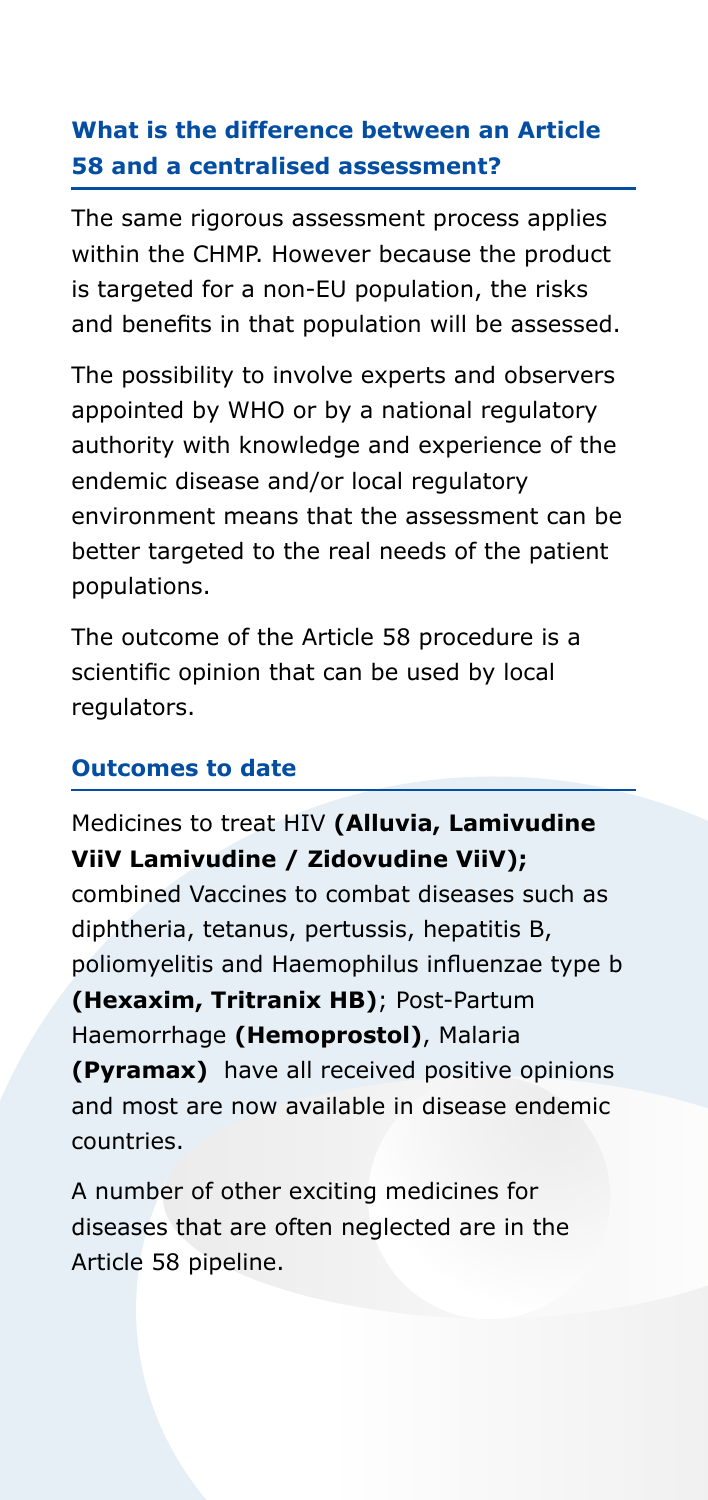## **What is the difference between an Article 58 and a centralised assessment?**

The same rigorous assessment process applies within the CHMP. However because the product is targeted for a non-EU population, the risks and benefits in that population will be assessed.

The possibility to involve experts and observers appointed by WHO or by a national regulatory authority with knowledge and experience of the endemic disease and/or local regulatory environment means that the assessment can be better targeted to the real needs of the patient populations.

The outcome of the Article 58 procedure is a scientific opinion that can be used by local regulators.

#### **Outcomes to date**

## Medicines to treat HIV **(Alluvia, Lamivudine ViiV Lamivudine / Zidovudine ViiV);**

combined Vaccines to combat diseases such as diphtheria, tetanus, pertussis, hepatitis B, poliomyelitis and Haemophilus influenzae type b **(Hexaxim, Tritranix HB)**; Post-Partum Haemorrhage **(Hemoprostol)**, Malaria **(Pyramax)** have all received positive opinions and most are now available in disease endemic countries.

A number of other exciting medicines for diseases that are often neglected are in the Article 58 pipeline.